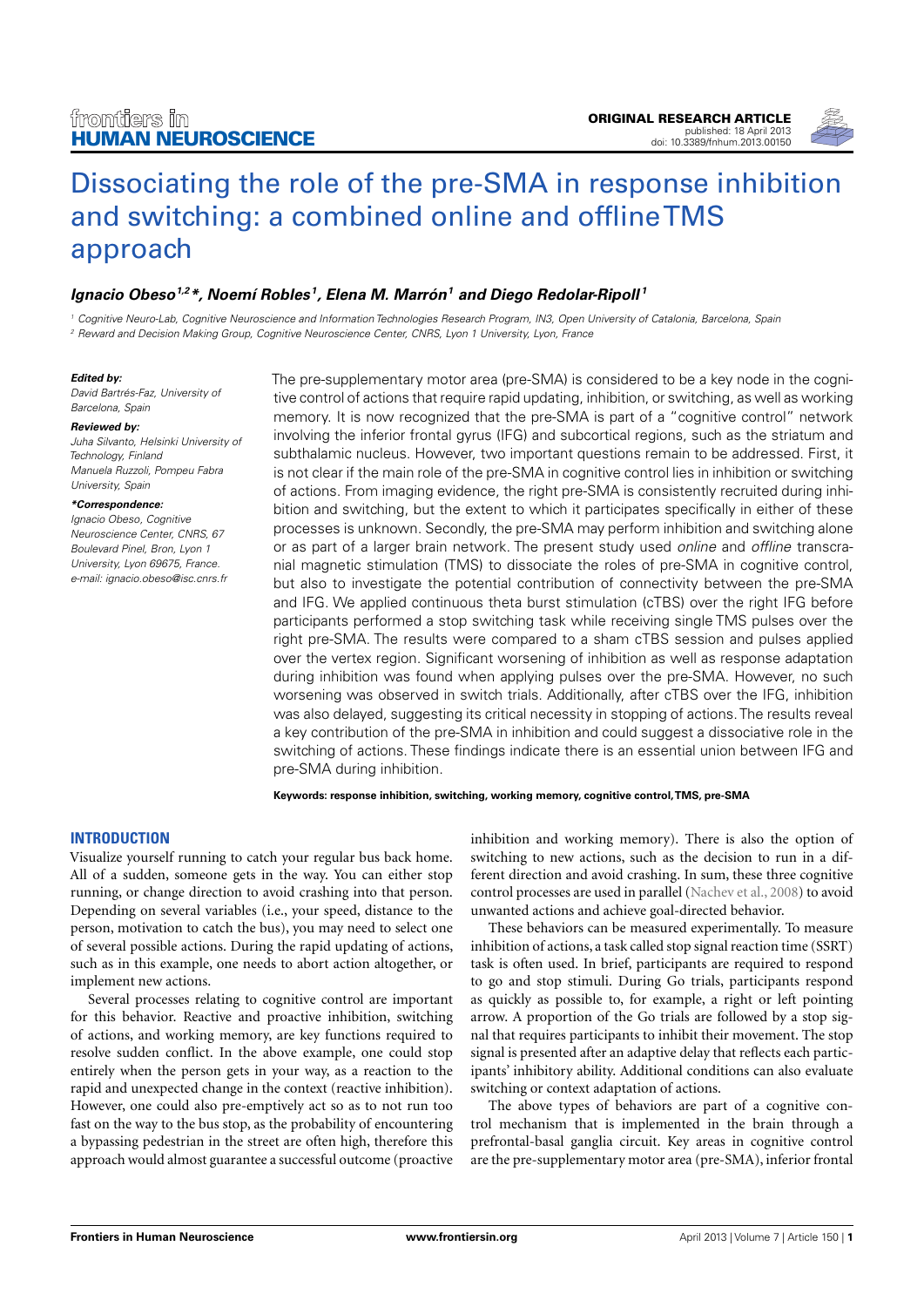

# [Dissociating the role of the pre-SMA in response inhibition](http://www.frontiersin.org/Human_Neuroscience/10.3389/fnhum.2013.00150/abstract) [and switching: a combined online and offlineTMS](http://www.frontiersin.org/Human_Neuroscience/10.3389/fnhum.2013.00150/abstract) [approach](http://www.frontiersin.org/Human_Neuroscience/10.3389/fnhum.2013.00150/abstract)

# **[Ignacio Obeso](http://www.frontiersin.org/people/IgnacioObeso/31047)1,2\*, [Noemí Robles](http://www.frontiersin.org/people/NoemiRobles/78090) <sup>1</sup> , [Elena M. Marrón](http://www.frontiersin.org/Community/WhosWhoActivity.aspx?sname=ElenaMarr�n&UID=84719)<sup>1</sup> and [Diego Redolar-Ripoll](http://www.frontiersin.org/Community/WhosWhoActivity.aspx?sname=DiegoRedolar-Ripoll&UID=73865) <sup>1</sup>**

<sup>1</sup> Cognitive Neuro-Lab, Cognitive Neuroscience and Information Technologies Research Program, IN3, Open University of Catalonia, Barcelona, Spain <sup>2</sup> Reward and Decision Making Group, Cognitive Neuroscience Center, CNRS, Lyon 1 University, Lyon, France

#### **Edited by:**

David Bartrés-Faz, University of Barcelona, Spain

#### **Reviewed by:**

Juha Silvanto, Helsinki University of Technology, Finland Manuela Ruzzoli, Pompeu Fabra University, Spain

#### **\*Correspondence:**

Ignacio Obeso, Cognitive Neuroscience Center, CNRS, 67 Boulevard Pinel, Bron, Lyon 1 University, Lyon 69675, France. e-mail: [ignacio.obeso@isc.cnrs.fr](mailto:ignacio.obeso@isc.cnrs.fr) The pre-supplementary motor area (pre-SMA) is considered to be a key node in the cognitive control of actions that require rapid updating, inhibition, or switching, as well as working memory. It is now recognized that the pre-SMA is part of a "cognitive control" network involving the inferior frontal gyrus (IFG) and subcortical regions, such as the striatum and subthalamic nucleus. However, two important questions remain to be addressed. First, it is not clear if the main role of the pre-SMA in cognitive control lies in inhibition or switching of actions. From imaging evidence, the right pre-SMA is consistently recruited during inhibition and switching, but the extent to which it participates specifically in either of these processes is unknown. Secondly, the pre-SMA may perform inhibition and switching alone or as part of a larger brain network. The present study used online and offline transcranial magnetic stimulation (TMS) to dissociate the roles of pre-SMA in cognitive control, but also to investigate the potential contribution of connectivity between the pre-SMA and IFG. We applied continuous theta burst stimulation (cTBS) over the right IFG before participants performed a stop switching task while receiving single TMS pulses over the right pre-SMA. The results were compared to a sham cTBS session and pulses applied over the vertex region. Significant worsening of inhibition as well as response adaptation during inhibition was found when applying pulses over the pre-SMA. However, no such worsening was observed in switch trials. Additionally, after cTBS over the IFG, inhibition was also delayed, suggesting its critical necessity in stopping of actions. The results reveal a key contribution of the pre-SMA in inhibition and could suggest a dissociative role in the switching of actions. These findings indicate there is an essential union between IFG and pre-SMA during inhibition.

**Keywords: response inhibition, switching, working memory, cognitive control,TMS, pre-SMA**

# **INTRODUCTION**

Visualize yourself running to catch your regular bus back home. All of a sudden, someone gets in the way. You can either stop running, or change direction to avoid crashing into that person. Depending on several variables (i.e., your speed, distance to the person, motivation to catch the bus), you may need to select one of several possible actions. During the rapid updating of actions, such as in this example, one needs to abort action altogether, or implement new actions.

Several processes relating to cognitive control are important for this behavior. Reactive and proactive inhibition, switching of actions, and working memory, are key functions required to resolve sudden conflict. In the above example, one could stop entirely when the person gets in your way, as a reaction to the rapid and unexpected change in the context (reactive inhibition). However, one could also pre-emptively act so as to not run too fast on the way to the bus stop, as the probability of encountering a bypassing pedestrian in the street are often high, therefore this approach would almost guarantee a successful outcome (proactive inhibition and working memory). There is also the option of switching to new actions, such as the decision to run in a different direction and avoid crashing. In sum, these three cognitive control processes are used in parallel [\(Nachev et al., 2008\)](#page-7-0) to avoid unwanted actions and achieve goal-directed behavior.

These behaviors can be measured experimentally. To measure inhibition of actions, a task called stop signal reaction time (SSRT) task is often used. In brief, participants are required to respond to go and stop stimuli. During Go trials, participants respond as quickly as possible to, for example, a right or left pointing arrow. A proportion of the Go trials are followed by a stop signal that requires participants to inhibit their movement. The stop signal is presented after an adaptive delay that reflects each participants' inhibitory ability. Additional conditions can also evaluate switching or context adaptation of actions.

The above types of behaviors are part of a cognitive control mechanism that is implemented in the brain through a prefrontal-basal ganglia circuit. Key areas in cognitive control are the pre-supplementary motor area (pre-SMA), inferior frontal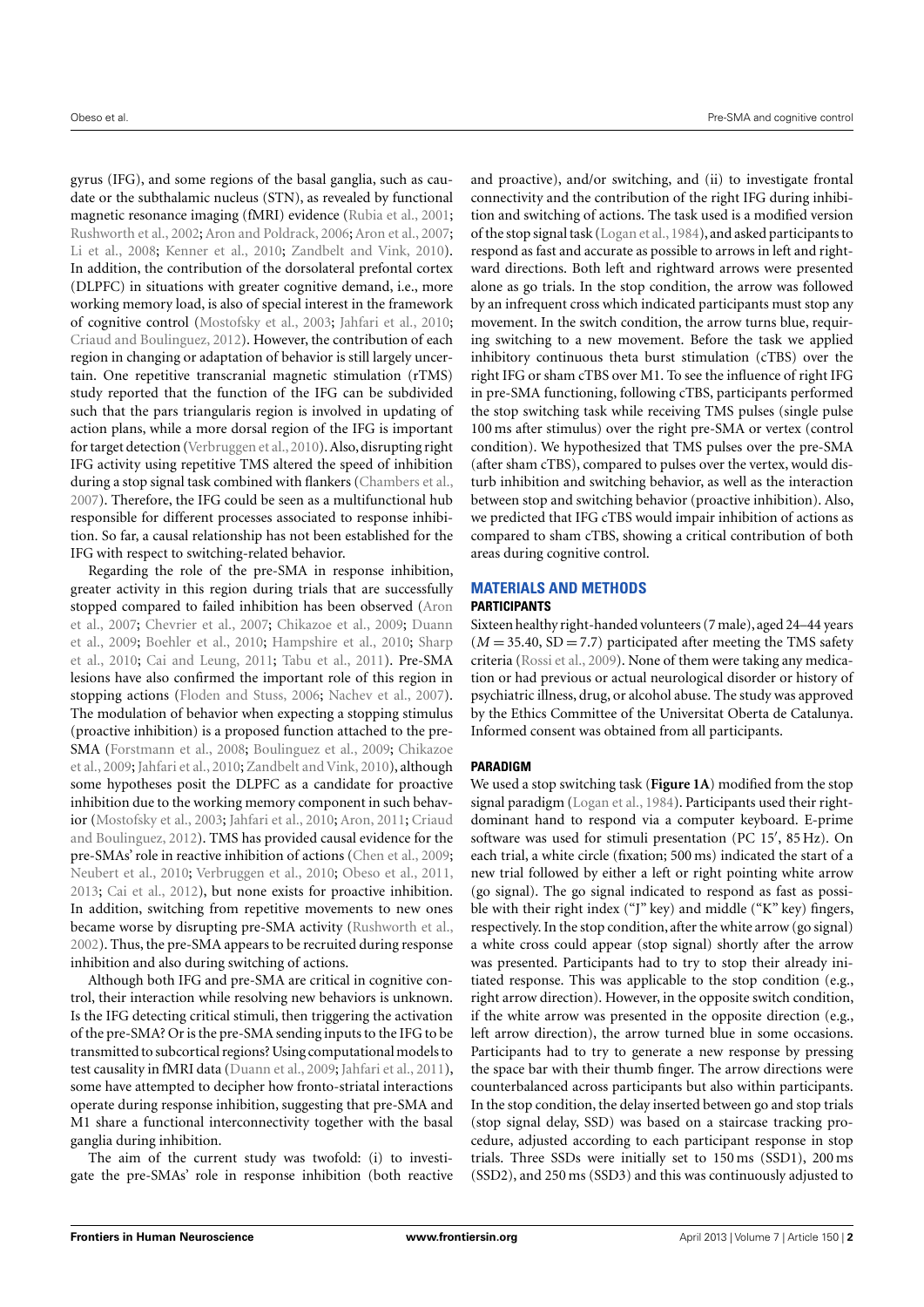gyrus (IFG), and some regions of the basal ganglia, such as caudate or the subthalamic nucleus (STN), as revealed by functional magnetic resonance imaging (fMRI) evidence [\(Rubia et al.,](#page-7-1) [2001;](#page-7-1) [Rushworth et al.,](#page-7-2) [2002;](#page-7-2) [Aron and Poldrack,](#page-7-3) [2006;](#page-7-3) [Aron et al.,](#page-7-4) [2007;](#page-7-4) [Li et al.,](#page-7-5) [2008;](#page-7-5) [Kenner et al.,](#page-7-6) [2010;](#page-7-6) [Zandbelt and Vink,](#page-8-0) [2010\)](#page-8-0). In addition, the contribution of the dorsolateral prefontal cortex (DLPFC) in situations with greater cognitive demand, i.e., more working memory load, is also of special interest in the framework of cognitive control [\(Mostofsky et al.,](#page-7-7) [2003;](#page-7-7) [Jahfari et al.,](#page-7-8) [2010;](#page-7-8) [Criaud and Boulinguez,](#page-7-9) [2012\)](#page-7-9). However, the contribution of each region in changing or adaptation of behavior is still largely uncertain. One repetitive transcranial magnetic stimulation (rTMS) study reported that the function of the IFG can be subdivided such that the pars triangularis region is involved in updating of action plans, while a more dorsal region of the IFG is important for target detection [\(Verbruggen et al.,](#page-8-1) [2010\)](#page-8-1). Also, disrupting right IFG activity using repetitive TMS altered the speed of inhibition during a stop signal task combined with flankers [\(Chambers et al.,](#page-7-10) [2007\)](#page-7-10). Therefore, the IFG could be seen as a multifunctional hub responsible for different processes associated to response inhibition. So far, a causal relationship has not been established for the IFG with respect to switching-related behavior.

Regarding the role of the pre-SMA in response inhibition, greater activity in this region during trials that are successfully stopped compared to failed inhibition has been observed [\(Aron](#page-7-4) [et al.,](#page-7-4) [2007;](#page-7-4) [Chevrier et al.,](#page-7-11) [2007;](#page-7-11) [Chikazoe et al.,](#page-7-12) [2009;](#page-7-12) [Duann](#page-7-13) [et al.,](#page-7-13) [2009;](#page-7-13) [Boehler et al.,](#page-7-14) [2010;](#page-7-14) [Hampshire et al.,](#page-7-15) [2010;](#page-7-15) [Sharp](#page-8-2) [et al.,](#page-8-2) [2010;](#page-8-2) [Cai and Leung,](#page-7-16) [2011;](#page-7-16) [Tabu et al.,](#page-8-3) [2011\)](#page-8-3). Pre-SMA lesions have also confirmed the important role of this region in stopping actions [\(Floden and Stuss,](#page-7-17) [2006;](#page-7-17) [Nachev et al.,](#page-7-18) [2007\)](#page-7-18). The modulation of behavior when expecting a stopping stimulus (proactive inhibition) is a proposed function attached to the pre-SMA [\(Forstmann et al.,](#page-7-19) [2008;](#page-7-19) [Boulinguez et al.,](#page-7-20) [2009;](#page-7-20) [Chikazoe](#page-7-12) [et al.,](#page-7-12) [2009;](#page-7-12) [Jahfari et al.,](#page-7-8) [2010;](#page-7-8) [Zandbelt and Vink,](#page-8-0) [2010\)](#page-8-0), although some hypotheses posit the DLPFC as a candidate for proactive inhibition due to the working memory component in such behavior [\(Mostofsky et al.,](#page-7-7) [2003;](#page-7-7) [Jahfari et al.,](#page-7-8) [2010;](#page-7-8) [Aron,](#page-7-21) [2011;](#page-7-21) [Criaud](#page-7-9) [and Boulinguez,](#page-7-9) [2012\)](#page-7-9). TMS has provided causal evidence for the pre-SMAs' role in reactive inhibition of actions [\(Chen et al.,](#page-7-22) [2009;](#page-7-22) [Neubert et al.,](#page-7-23) [2010;](#page-7-23) [Verbruggen et al.,](#page-8-1) [2010;](#page-8-1) [Obeso et al.,](#page-7-24) [2011,](#page-7-24) [2013;](#page-7-25) [Cai et al.,](#page-7-26) [2012\)](#page-7-26), but none exists for proactive inhibition. In addition, switching from repetitive movements to new ones became worse by disrupting pre-SMA activity [\(Rushworth et al.,](#page-7-2) [2002\)](#page-7-2). Thus, the pre-SMA appears to be recruited during response inhibition and also during switching of actions.

Although both IFG and pre-SMA are critical in cognitive control, their interaction while resolving new behaviors is unknown. Is the IFG detecting critical stimuli, then triggering the activation of the pre-SMA? Or is the pre-SMA sending inputs to the IFG to be transmitted to subcortical regions? Using computational models to test causality in fMRI data [\(Duann et al.,](#page-7-13) [2009;](#page-7-13) [Jahfari et al.,](#page-7-27) [2011\)](#page-7-27), some have attempted to decipher how fronto-striatal interactions operate during response inhibition, suggesting that pre-SMA and M1 share a functional interconnectivity together with the basal ganglia during inhibition.

The aim of the current study was twofold: (i) to investigate the pre-SMAs' role in response inhibition (both reactive

and proactive), and/or switching, and (ii) to investigate frontal connectivity and the contribution of the right IFG during inhibition and switching of actions. The task used is a modified version of the stop signal task [\(Logan et al.,1984\)](#page-7-28), and asked participants to respond as fast and accurate as possible to arrows in left and rightward directions. Both left and rightward arrows were presented alone as go trials. In the stop condition, the arrow was followed by an infrequent cross which indicated participants must stop any movement. In the switch condition, the arrow turns blue, requiring switching to a new movement. Before the task we applied inhibitory continuous theta burst stimulation (cTBS) over the right IFG or sham cTBS over M1. To see the influence of right IFG in pre-SMA functioning, following cTBS, participants performed the stop switching task while receiving TMS pulses (single pulse 100 ms after stimulus) over the right pre-SMA or vertex (control condition). We hypothesized that TMS pulses over the pre-SMA (after sham cTBS), compared to pulses over the vertex, would disturb inhibition and switching behavior, as well as the interaction between stop and switching behavior (proactive inhibition). Also, we predicted that IFG cTBS would impair inhibition of actions as compared to sham cTBS, showing a critical contribution of both areas during cognitive control.

# **MATERIALS AND METHODS**

# **PARTICIPANTS**

Sixteen healthy right-handed volunteers (7 male), aged 24–44 years  $(M = 35.40, SD = 7.7)$  participated after meeting the TMS safety criteria [\(Rossi et al.,](#page-7-29) [2009\)](#page-7-29). None of them were taking any medication or had previous or actual neurological disorder or history of psychiatric illness, drug, or alcohol abuse. The study was approved by the Ethics Committee of the Universitat Oberta de Catalunya. Informed consent was obtained from all participants.

# **PARADIGM**

We used a stop switching task (**[Figure 1A](#page-2-0)**) modified from the stop signal paradigm [\(Logan et al.,](#page-7-28) [1984\)](#page-7-28). Participants used their rightdominant hand to respond via a computer keyboard. E-prime software was used for stimuli presentation (PC 15', 85 Hz). On each trial, a white circle (fixation; 500 ms) indicated the start of a new trial followed by either a left or right pointing white arrow (go signal). The go signal indicated to respond as fast as possible with their right index ("J" key) and middle ("K" key) fingers, respectively. In the stop condition, after the white arrow (go signal) a white cross could appear (stop signal) shortly after the arrow was presented. Participants had to try to stop their already initiated response. This was applicable to the stop condition (e.g., right arrow direction). However, in the opposite switch condition, if the white arrow was presented in the opposite direction (e.g., left arrow direction), the arrow turned blue in some occasions. Participants had to try to generate a new response by pressing the space bar with their thumb finger. The arrow directions were counterbalanced across participants but also within participants. In the stop condition, the delay inserted between go and stop trials (stop signal delay, SSD) was based on a staircase tracking procedure, adjusted according to each participant response in stop trials. Three SSDs were initially set to 150 ms (SSD1), 200 ms (SSD2), and 250 ms (SSD3) and this was continuously adjusted to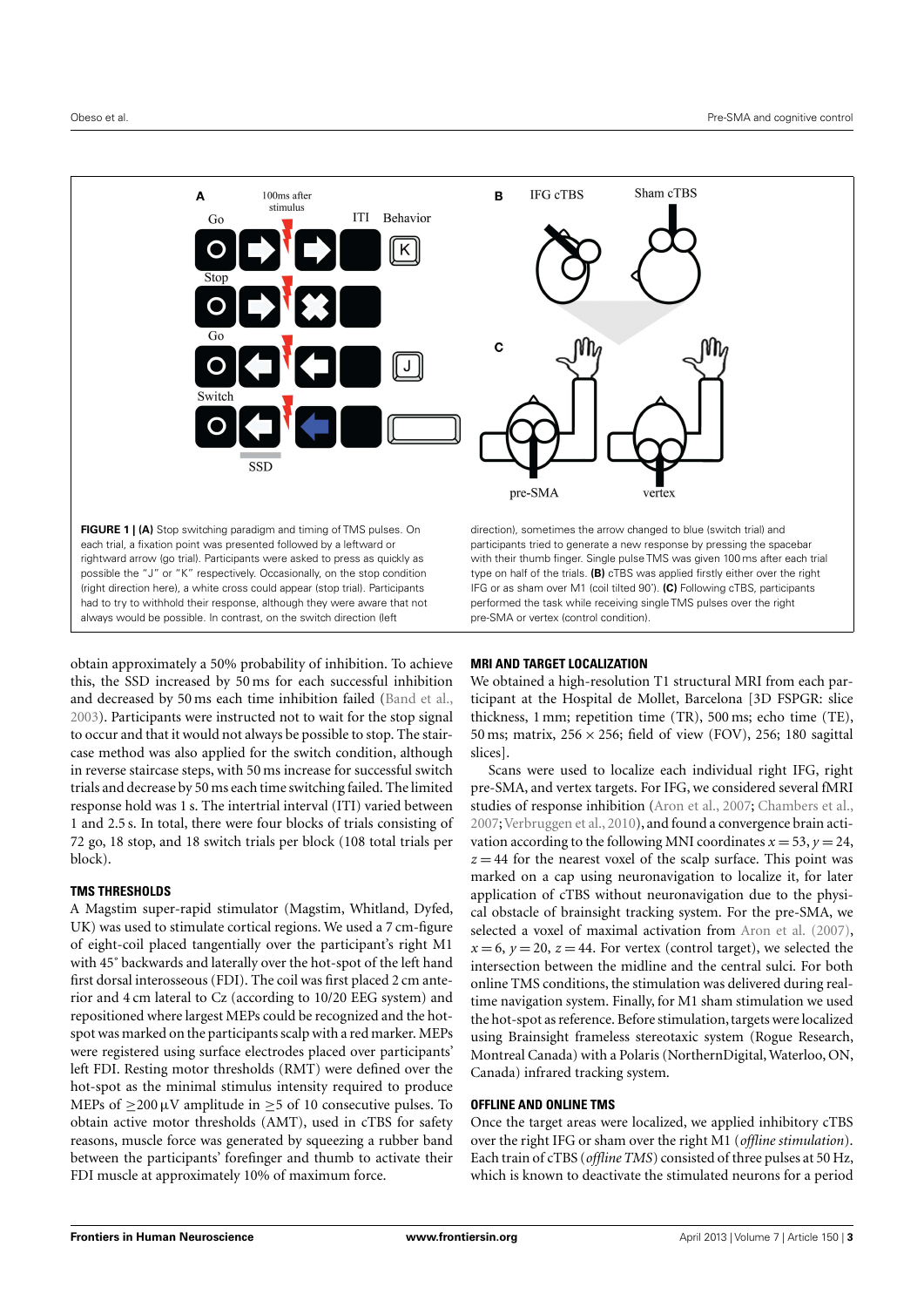

<span id="page-2-0"></span>obtain approximately a 50% probability of inhibition. To achieve this, the SSD increased by 50 ms for each successful inhibition and decreased by 50 ms each time inhibition failed [\(Band et al.,](#page-7-30) [2003\)](#page-7-30). Participants were instructed not to wait for the stop signal to occur and that it would not always be possible to stop. The staircase method was also applied for the switch condition, although in reverse staircase steps, with 50 ms increase for successful switch trials and decrease by 50 ms each time switching failed. The limited response hold was 1 s. The intertrial interval (ITI) varied between 1 and 2.5 s. In total, there were four blocks of trials consisting of 72 go, 18 stop, and 18 switch trials per block (108 total trials per block).

# **TMS THRESHOLDS**

A Magstim super-rapid stimulator (Magstim, Whitland, Dyfed, UK) was used to stimulate cortical regions. We used a 7 cm-figure of eight-coil placed tangentially over the participant's right M1 with 45˚ backwards and laterally over the hot-spot of the left hand first dorsal interosseous (FDI). The coil was first placed 2 cm anterior and 4 cm lateral to Cz (according to 10/20 EEG system) and repositioned where largest MEPs could be recognized and the hotspot was marked on the participants scalp with a red marker. MEPs were registered using surface electrodes placed over participants' left FDI. Resting motor thresholds (RMT) were defined over the hot-spot as the minimal stimulus intensity required to produce MEPs of  $\geq$ 200 µV amplitude in  $\geq$ 5 of 10 consecutive pulses. To obtain active motor thresholds (AMT), used in cTBS for safety reasons, muscle force was generated by squeezing a rubber band between the participants' forefinger and thumb to activate their FDI muscle at approximately 10% of maximum force.

# **MRI AND TARGET LOCALIZATION**

We obtained a high-resolution T1 structural MRI from each participant at the Hospital de Mollet, Barcelona [3D FSPGR: slice thickness, 1 mm; repetition time (TR), 500 ms; echo time (TE), 50 ms; matrix,  $256 \times 256$ ; field of view (FOV), 256; 180 sagittal slices].

Scans were used to localize each individual right IFG, right pre-SMA, and vertex targets. For IFG, we considered several fMRI studies of response inhibition [\(Aron et al.,](#page-7-4) [2007;](#page-7-4) [Chambers et al.,](#page-7-10) [2007;](#page-7-10)[Verbruggen et al.,](#page-8-1) [2010\)](#page-8-1), and found a convergence brain activation according to the following MNI coordinates  $x = 53$ ,  $y = 24$ ,  $z = 44$  for the nearest voxel of the scalp surface. This point was marked on a cap using neuronavigation to localize it, for later application of cTBS without neuronavigation due to the physical obstacle of brainsight tracking system. For the pre-SMA, we selected a voxel of maximal activation from [Aron et al.](#page-7-4) [\(2007\)](#page-7-4),  $x = 6$ ,  $y = 20$ ,  $z = 44$ . For vertex (control target), we selected the intersection between the midline and the central sulci. For both online TMS conditions, the stimulation was delivered during realtime navigation system. Finally, for M1 sham stimulation we used the hot-spot as reference. Before stimulation, targets were localized using Brainsight frameless stereotaxic system (Rogue Research, Montreal Canada) with a Polaris (NorthernDigital, Waterloo, ON, Canada) infrared tracking system.

# **OFFLINE AND ONLINE TMS**

Once the target areas were localized, we applied inhibitory cTBS over the right IFG or sham over the right M1 (*offline stimulation*). Each train of cTBS (*offline TMS*) consisted of three pulses at 50 Hz, which is known to deactivate the stimulated neurons for a period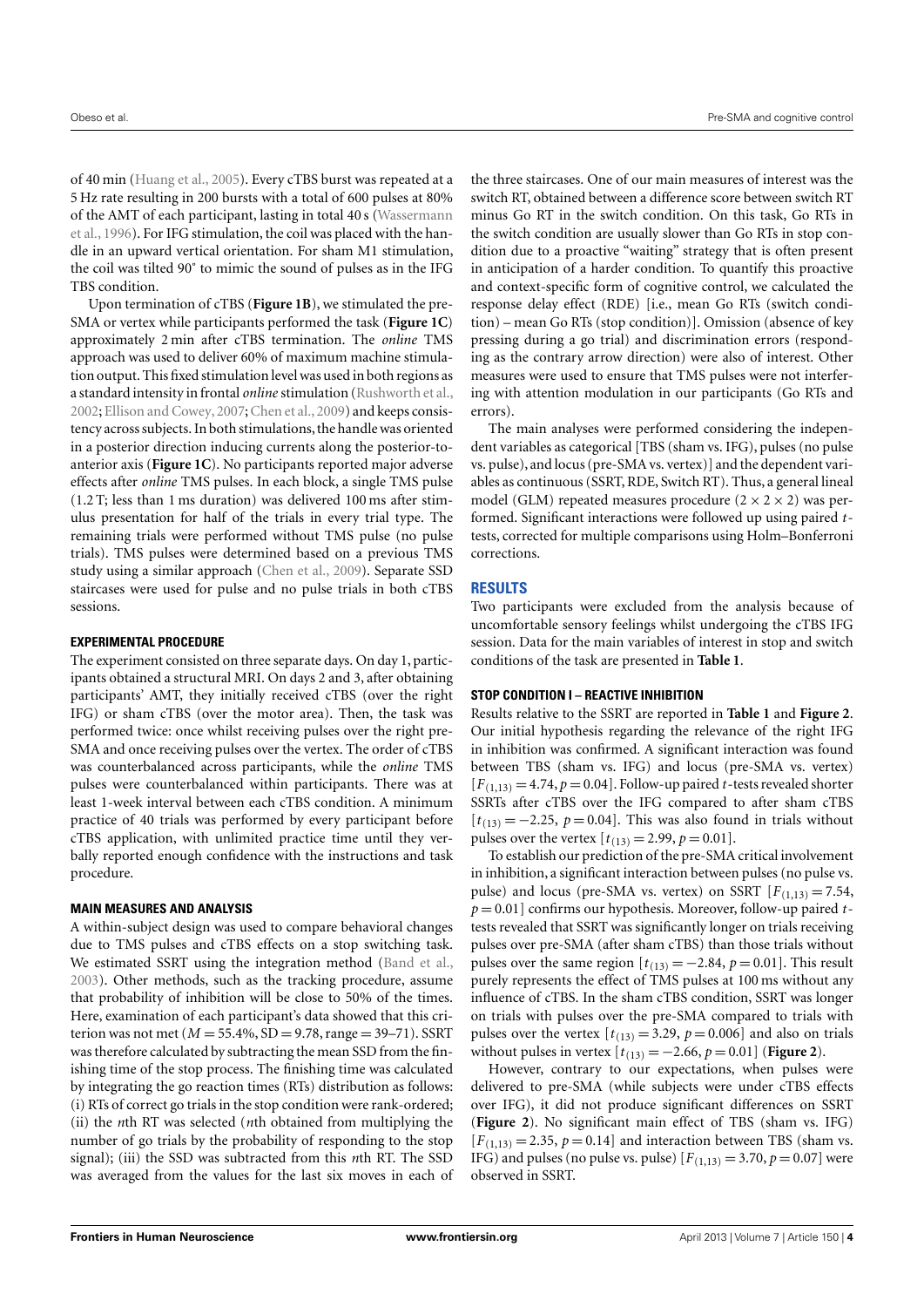of 40 min [\(Huang et al.,](#page-7-31) [2005\)](#page-7-31). Every cTBS burst was repeated at a 5 Hz rate resulting in 200 bursts with a total of 600 pulses at 80% of the AMT of each participant, lasting in total 40 s [\(Wassermann](#page-8-4) [et al.,](#page-8-4) [1996\)](#page-8-4). For IFG stimulation, the coil was placed with the handle in an upward vertical orientation. For sham M1 stimulation, the coil was tilted 90˚ to mimic the sound of pulses as in the IFG TBS condition.

Upon termination of cTBS (**[Figure 1B](#page-2-0)**), we stimulated the pre-SMA or vertex while participants performed the task (**[Figure 1C](#page-2-0)**) approximately 2 min after cTBS termination. The *online* TMS approach was used to deliver 60% of maximum machine stimulation output. This fixed stimulation level was used in both regions as a standard intensity in frontal *online* stimulation [\(Rushworth et al.,](#page-7-2) [2002;](#page-7-2) [Ellison and Cowey,](#page-7-32) [2007;](#page-7-32) [Chen et al.,](#page-7-22) [2009\)](#page-7-22) and keeps consistency across subjects. In both stimulations, the handle was oriented in a posterior direction inducing currents along the posterior-toanterior axis (**[Figure 1C](#page-2-0)**). No participants reported major adverse effects after *online* TMS pulses. In each block, a single TMS pulse (1.2 T; less than 1 ms duration) was delivered 100 ms after stimulus presentation for half of the trials in every trial type. The remaining trials were performed without TMS pulse (no pulse trials). TMS pulses were determined based on a previous TMS study using a similar approach [\(Chen et al.,](#page-7-22) [2009\)](#page-7-22). Separate SSD staircases were used for pulse and no pulse trials in both cTBS sessions.

#### **EXPERIMENTAL PROCEDURE**

The experiment consisted on three separate days. On day 1, participants obtained a structural MRI. On days 2 and 3, after obtaining participants' AMT, they initially received cTBS (over the right IFG) or sham cTBS (over the motor area). Then, the task was performed twice: once whilst receiving pulses over the right pre-SMA and once receiving pulses over the vertex. The order of cTBS was counterbalanced across participants, while the *online* TMS pulses were counterbalanced within participants. There was at least 1-week interval between each cTBS condition. A minimum practice of 40 trials was performed by every participant before cTBS application, with unlimited practice time until they verbally reported enough confidence with the instructions and task procedure.

#### **MAIN MEASURES AND ANALYSIS**

A within-subject design was used to compare behavioral changes due to TMS pulses and cTBS effects on a stop switching task. We estimated SSRT using the integration method [\(Band et al.,](#page-7-30) [2003\)](#page-7-30). Other methods, such as the tracking procedure, assume that probability of inhibition will be close to 50% of the times. Here, examination of each participant's data showed that this criterion was not met ( $M = 55.4\%$ ,  $SD = 9.78$ , range = 39–71). SSRT was therefore calculated by subtracting the mean SSD from the finishing time of the stop process. The finishing time was calculated by integrating the go reaction times (RTs) distribution as follows: (i) RTs of correct go trials in the stop condition were rank-ordered; (ii) the *n*th RT was selected (*n*th obtained from multiplying the number of go trials by the probability of responding to the stop signal); (iii) the SSD was subtracted from this *n*th RT. The SSD was averaged from the values for the last six moves in each of

the three staircases. One of our main measures of interest was the switch RT, obtained between a difference score between switch RT minus Go RT in the switch condition. On this task, Go RTs in the switch condition are usually slower than Go RTs in stop condition due to a proactive "waiting" strategy that is often present in anticipation of a harder condition. To quantify this proactive and context-specific form of cognitive control, we calculated the response delay effect (RDE) [i.e., mean Go RTs (switch condition) – mean Go RTs (stop condition)]. Omission (absence of key pressing during a go trial) and discrimination errors (responding as the contrary arrow direction) were also of interest. Other measures were used to ensure that TMS pulses were not interfering with attention modulation in our participants (Go RTs and errors).

The main analyses were performed considering the independent variables as categorical [TBS (sham vs. IFG), pulses (no pulse vs. pulse), and locus (pre-SMA vs. vertex)] and the dependent variables as continuous (SSRT, RDE, Switch RT). Thus, a general lineal model (GLM) repeated measures procedure  $(2 \times 2 \times 2)$  was performed. Significant interactions were followed up using paired *t*tests, corrected for multiple comparisons using Holm–Bonferroni corrections.

# **RESULTS**

Two participants were excluded from the analysis because of uncomfortable sensory feelings whilst undergoing the cTBS IFG session. Data for the main variables of interest in stop and switch conditions of the task are presented in **[Table 1](#page-4-0)**.

#### **STOP CONDITION I – REACTIVE INHIBITION**

Results relative to the SSRT are reported in **[Table 1](#page-4-0)** and **[Figure 2](#page-4-1)**. Our initial hypothesis regarding the relevance of the right IFG in inhibition was confirmed. A significant interaction was found between TBS (sham vs. IFG) and locus (pre-SMA vs. vertex)  $[F(1,13) = 4.74, p = 0.04]$ . Follow-up paired *t*-tests revealed shorter SSRTs after cTBS over the IFG compared to after sham cTBS  $[t_{(13)} = -2.25, p = 0.04]$ . This was also found in trials without pulses over the vertex  $[t_{(13)} = 2.99, p = 0.01]$ .

To establish our prediction of the pre-SMA critical involvement in inhibition, a significant interaction between pulses (no pulse vs. pulse) and locus (pre-SMA vs. vertex) on SSRT  $[F(1,13)] = 7.54$ , *p* = 0.01] confirms our hypothesis. Moreover, follow-up paired *t*tests revealed that SSRT was significantly longer on trials receiving pulses over pre-SMA (after sham cTBS) than those trials without pulses over the same region  $[t_{(13)} = -2.84, p = 0.01]$ . This result purely represents the effect of TMS pulses at 100 ms without any influence of cTBS. In the sham cTBS condition, SSRT was longer on trials with pulses over the pre-SMA compared to trials with pulses over the vertex  $[t_{(13)} = 3.29, p = 0.006]$  and also on trials without pulses in vertex  $[t_{(13)} = -2.66, p = 0.01]$  (**[Figure 2](#page-4-1)**).

However, contrary to our expectations, when pulses were delivered to pre-SMA (while subjects were under cTBS effects over IFG), it did not produce significant differences on SSRT (**[Figure 2](#page-4-1)**). No significant main effect of TBS (sham vs. IFG)  $[F(1,13) = 2.35, p = 0.14]$  and interaction between TBS (sham vs. IFG) and pulses (no pulse vs. pulse)  $[F_{(1,13)} = 3.70, p = 0.07]$  were observed in SSRT.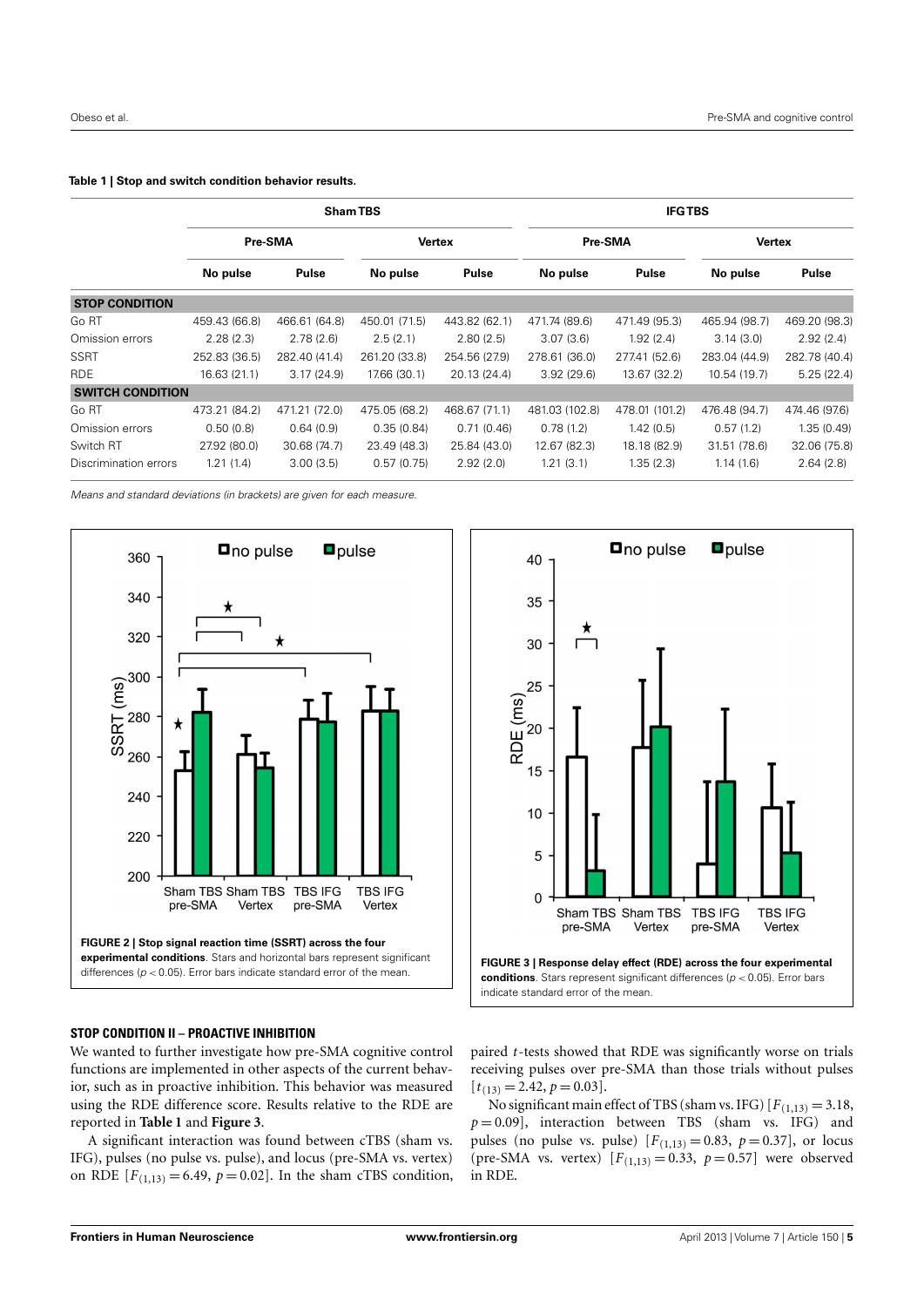#### <span id="page-4-0"></span>**Table 1 | Stop and switch condition behavior results.**

|                         | <b>Sham TBS</b> |               |               |               | <b>IFGTBS</b>  |                |               |               |
|-------------------------|-----------------|---------------|---------------|---------------|----------------|----------------|---------------|---------------|
|                         | Pre-SMA         |               | <b>Vertex</b> |               | Pre-SMA        |                | <b>Vertex</b> |               |
|                         | No pulse        | Pulse         | No pulse      | <b>Pulse</b>  | No pulse       | Pulse          | No pulse      | Pulse         |
| <b>STOP CONDITION</b>   |                 |               |               |               |                |                |               |               |
| Go RT                   | 459.43 (66.8)   | 466.61 (64.8) | 450.01 (71.5) | 443.82 (62.1) | 471.74 (89.6)  | 471.49 (95.3)  | 465.94 (98.7) | 469.20 (98.3) |
| Omission errors         | 2.28(2.3)       | 2.78(2.6)     | 2.5(2.1)      | 2.80(2.5)     | 3.07(3.6)      | 1.92 (2.4)     | 3.14(3.0)     | 2.92(2.4)     |
| <b>SSRT</b>             | 252.83 (36.5)   | 282.40 (41.4) | 261.20 (33.8) | 254.56 (27.9) | 278.61 (36.0)  | 277.41 (52.6)  | 283.04 (44.9) | 282.78 (40.4) |
| <b>RDE</b>              | 16.63 (21.1)    | 3.17(24.9)    | 17.66 (30.1)  | 20.13 (24.4)  | 3.92(29.6)     | 13.67 (32.2)   | 10.54 (19.7)  | 5.25(22.4)    |
| <b>SWITCH CONDITION</b> |                 |               |               |               |                |                |               |               |
| Go RT                   | 473.21 (84.2)   | 471.21 (72.0) | 475.05 (68.2) | 468.67 (71.1) | 481.03 (102.8) | 478.01 (101.2) | 476.48 (94.7) | 474.46 (97.6) |
| Omission errors         | 0.50(0.8)       | 0.64(0.9)     | 0.35(0.84)    | 0.71(0.46)    | 0.78(1.2)      | 1.42(0.5)      | 0.57(1.2)     | 1.35(0.49)    |
| Switch RT               | 27.92 (80.0)    | 30.68 (74.7)  | 23.49 (48.3)  | 25.84 (43.0)  | 12.67 (82.3)   | 18.18 (82.9)   | 31.51 (78.6)  | 32.06 (75.8)  |
| Discrimination errors   | 1.21(1.4)       | 3.00(3.5)     | 0.57(0.75)    | 2.92(2.0)     | 1.21(3.1)      | 1.35(2.3)      | 1.14(1.6)     | 2.64(2.8)     |

Means and standard deviations (in brackets) are given for each measure.



#### <span id="page-4-1"></span>**STOP CONDITION II – PROACTIVE INHIBITION**

We wanted to further investigate how pre-SMA cognitive control functions are implemented in other aspects of the current behavior, such as in proactive inhibition. This behavior was measured using the RDE difference score. Results relative to the RDE are reported in **[Table 1](#page-4-0)** and **[Figure 3](#page-4-2)**.

A significant interaction was found between cTBS (sham vs. IFG), pulses (no pulse vs. pulse), and locus (pre-SMA vs. vertex) on RDE  $[F_{(1,13)} = 6.49, p = 0.02]$ . In the sham cTBS condition,



<span id="page-4-2"></span>paired *t*-tests showed that RDE was significantly worse on trials receiving pulses over pre-SMA than those trials without pulses  $[t_{(13)} = 2.42, p = 0.03].$ 

No significant main effect of TBS (sham vs. IFG)  $[F_{(1,13)} = 3.18$ ,  $p = 0.09$ ], interaction between TBS (sham vs. IFG) and pulses (no pulse vs. pulse)  $[F(1,13) = 0.83, p = 0.37]$ , or locus (pre-SMA vs. vertex)  $[F_{(1,13)} = 0.33, p = 0.57]$  were observed in RDE.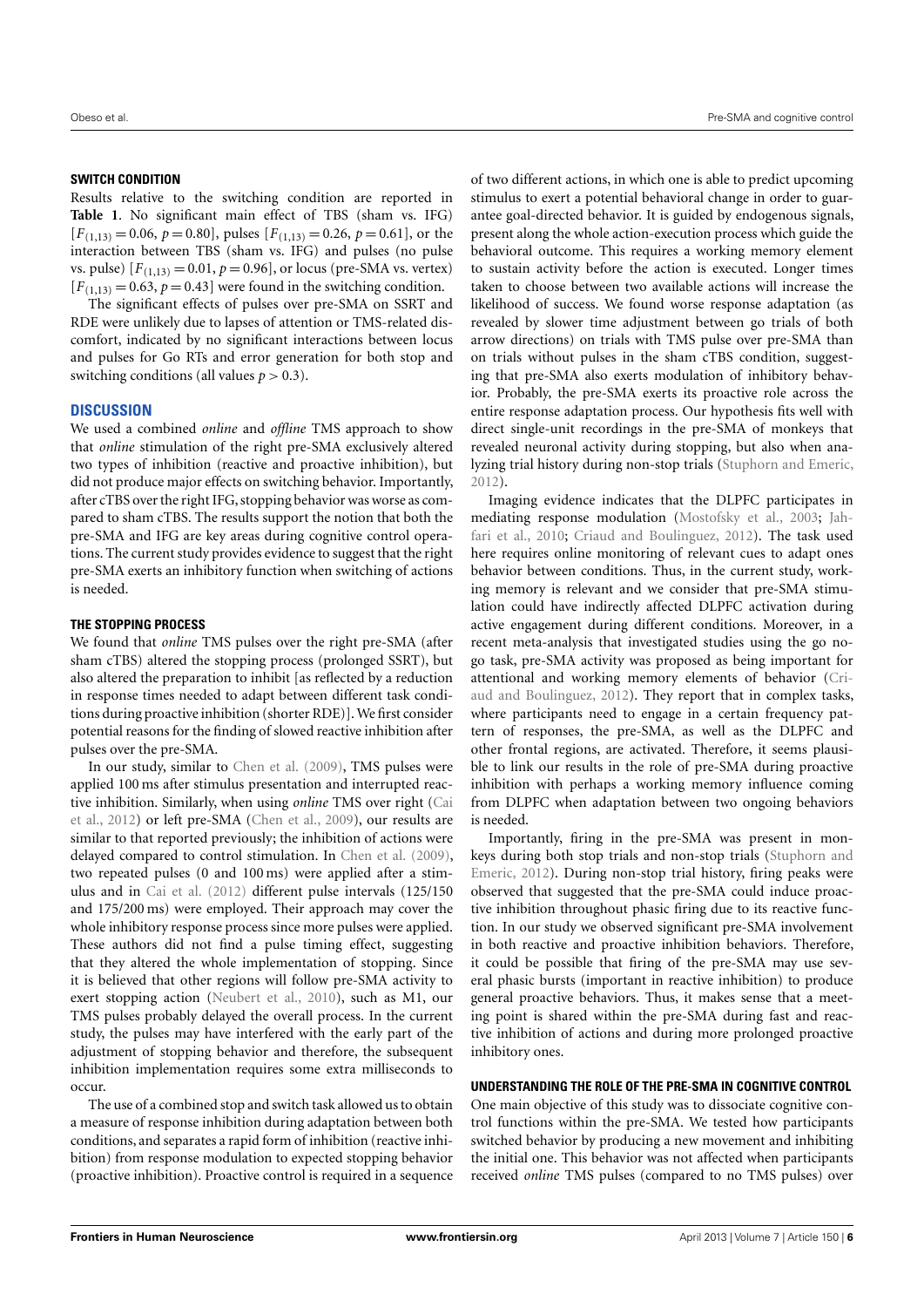#### **SWITCH CONDITION**

Results relative to the switching condition are reported in **[Table 1](#page-4-0)**. No significant main effect of TBS (sham vs. IFG)  $[F_{(1,13)} = 0.06, p = 0.80]$ , pulses  $[F_{(1,13)} = 0.26, p = 0.61]$ , or the interaction between TBS (sham vs. IFG) and pulses (no pulse vs. pulse)  $[F_{(1,13)} = 0.01, p = 0.96]$ , or locus (pre-SMA vs. vertex)  $[F_{(1,13)} = 0.63, p = 0.43]$  were found in the switching condition.

The significant effects of pulses over pre-SMA on SSRT and RDE were unlikely due to lapses of attention or TMS-related discomfort, indicated by no significant interactions between locus and pulses for Go RTs and error generation for both stop and switching conditions (all values  $p > 0.3$ ).

# **DISCUSSION**

We used a combined *online* and *offline* TMS approach to show that *online* stimulation of the right pre-SMA exclusively altered two types of inhibition (reactive and proactive inhibition), but did not produce major effects on switching behavior. Importantly, after cTBS over the right IFG, stopping behavior was worse as compared to sham cTBS. The results support the notion that both the pre-SMA and IFG are key areas during cognitive control operations. The current study provides evidence to suggest that the right pre-SMA exerts an inhibitory function when switching of actions is needed.

#### **THE STOPPING PROCESS**

We found that *online* TMS pulses over the right pre-SMA (after sham cTBS) altered the stopping process (prolonged SSRT), but also altered the preparation to inhibit [as reflected by a reduction in response times needed to adapt between different task conditions during proactive inhibition (shorter RDE)].We first consider potential reasons for the finding of slowed reactive inhibition after pulses over the pre-SMA.

In our study, similar to [Chen et al.](#page-7-22) [\(2009\)](#page-7-22), TMS pulses were applied 100 ms after stimulus presentation and interrupted reactive inhibition. Similarly, when using *online* TMS over right [\(Cai](#page-7-26) [et al.,](#page-7-26) [2012\)](#page-7-26) or left pre-SMA [\(Chen et al.,](#page-7-22) [2009\)](#page-7-22), our results are similar to that reported previously; the inhibition of actions were delayed compared to control stimulation. In [Chen et al.](#page-7-22) [\(2009\)](#page-7-22), two repeated pulses (0 and 100 ms) were applied after a stimulus and in [Cai et al.](#page-7-26) [\(2012\)](#page-7-26) different pulse intervals (125/150 and 175/200 ms) were employed. Their approach may cover the whole inhibitory response process since more pulses were applied. These authors did not find a pulse timing effect, suggesting that they altered the whole implementation of stopping. Since it is believed that other regions will follow pre-SMA activity to exert stopping action [\(Neubert et al.,](#page-7-23) [2010\)](#page-7-23), such as M1, our TMS pulses probably delayed the overall process. In the current study, the pulses may have interfered with the early part of the adjustment of stopping behavior and therefore, the subsequent inhibition implementation requires some extra milliseconds to occur.

The use of a combined stop and switch task allowed us to obtain a measure of response inhibition during adaptation between both conditions, and separates a rapid form of inhibition (reactive inhibition) from response modulation to expected stopping behavior (proactive inhibition). Proactive control is required in a sequence

of two different actions, in which one is able to predict upcoming stimulus to exert a potential behavioral change in order to guarantee goal-directed behavior. It is guided by endogenous signals, present along the whole action-execution process which guide the behavioral outcome. This requires a working memory element to sustain activity before the action is executed. Longer times taken to choose between two available actions will increase the likelihood of success. We found worse response adaptation (as revealed by slower time adjustment between go trials of both arrow directions) on trials with TMS pulse over pre-SMA than on trials without pulses in the sham cTBS condition, suggesting that pre-SMA also exerts modulation of inhibitory behavior. Probably, the pre-SMA exerts its proactive role across the entire response adaptation process. Our hypothesis fits well with direct single-unit recordings in the pre-SMA of monkeys that revealed neuronal activity during stopping, but also when analyzing trial history during non-stop trials [\(Stuphorn and Emeric,](#page-8-5) [2012\)](#page-8-5).

Imaging evidence indicates that the DLPFC participates in mediating response modulation [\(Mostofsky et al.,](#page-7-7) [2003;](#page-7-7) [Jah](#page-7-8)[fari et al.,](#page-7-8) [2010;](#page-7-8) [Criaud and Boulinguez,](#page-7-9) [2012\)](#page-7-9). The task used here requires online monitoring of relevant cues to adapt ones behavior between conditions. Thus, in the current study, working memory is relevant and we consider that pre-SMA stimulation could have indirectly affected DLPFC activation during active engagement during different conditions. Moreover, in a recent meta-analysis that investigated studies using the go nogo task, pre-SMA activity was proposed as being important for attentional and working memory elements of behavior [\(Cri](#page-7-9)[aud and Boulinguez,](#page-7-9) [2012\)](#page-7-9). They report that in complex tasks, where participants need to engage in a certain frequency pattern of responses, the pre-SMA, as well as the DLPFC and other frontal regions, are activated. Therefore, it seems plausible to link our results in the role of pre-SMA during proactive inhibition with perhaps a working memory influence coming from DLPFC when adaptation between two ongoing behaviors is needed.

Importantly, firing in the pre-SMA was present in monkeys during both stop trials and non-stop trials [\(Stuphorn and](#page-8-5) [Emeric,](#page-8-5) [2012\)](#page-8-5). During non-stop trial history, firing peaks were observed that suggested that the pre-SMA could induce proactive inhibition throughout phasic firing due to its reactive function. In our study we observed significant pre-SMA involvement in both reactive and proactive inhibition behaviors. Therefore, it could be possible that firing of the pre-SMA may use several phasic bursts (important in reactive inhibition) to produce general proactive behaviors. Thus, it makes sense that a meeting point is shared within the pre-SMA during fast and reactive inhibition of actions and during more prolonged proactive inhibitory ones.

#### **UNDERSTANDING THE ROLE OF THE PRE-SMA IN COGNITIVE CONTROL**

One main objective of this study was to dissociate cognitive control functions within the pre-SMA. We tested how participants switched behavior by producing a new movement and inhibiting the initial one. This behavior was not affected when participants received *online* TMS pulses (compared to no TMS pulses) over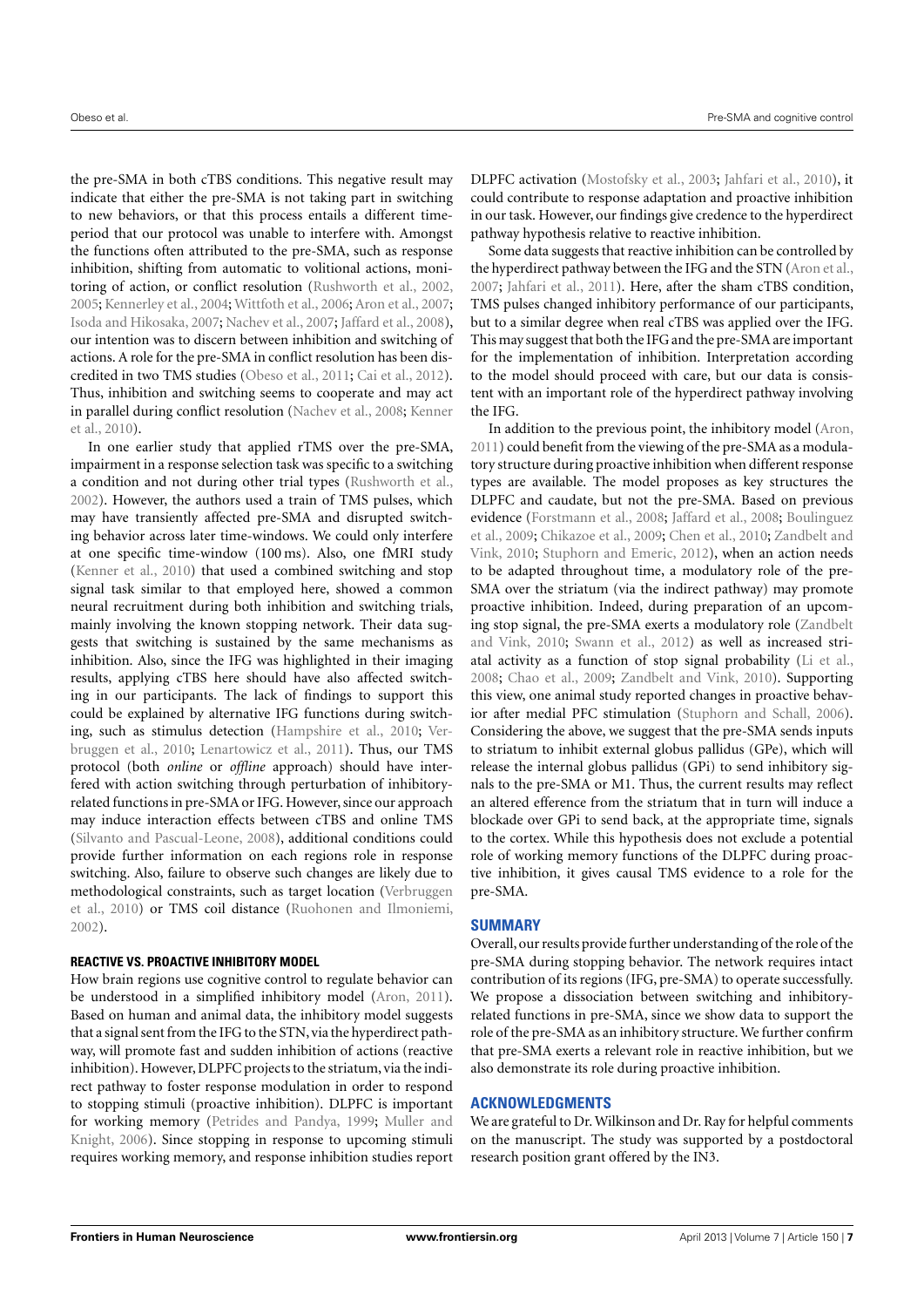the pre-SMA in both cTBS conditions. This negative result may indicate that either the pre-SMA is not taking part in switching to new behaviors, or that this process entails a different timeperiod that our protocol was unable to interfere with. Amongst the functions often attributed to the pre-SMA, such as response inhibition, shifting from automatic to volitional actions, monitoring of action, or conflict resolution [\(Rushworth et al.,](#page-7-2) [2002,](#page-7-2) [2005;](#page-8-6) [Kennerley et al.,](#page-7-33) [2004;](#page-7-33) [Wittfoth et al.,](#page-8-7) [2006;](#page-8-7) [Aron et al.,](#page-7-4) [2007;](#page-7-4) [Isoda and Hikosaka,](#page-7-34) [2007;](#page-7-34) [Nachev et al.,](#page-7-18) [2007;](#page-7-18) [Jaffard et al.,](#page-7-35) [2008\)](#page-7-35), our intention was to discern between inhibition and switching of actions. A role for the pre-SMA in conflict resolution has been discredited in two TMS studies [\(Obeso et al.,](#page-7-24) [2011;](#page-7-24) [Cai et al.,](#page-7-26) [2012\)](#page-7-26). Thus, inhibition and switching seems to cooperate and may act in parallel during conflict resolution [\(Nachev et al.,](#page-7-0) [2008;](#page-7-0) [Kenner](#page-7-6) [et al.,](#page-7-6) [2010\)](#page-7-6).

In one earlier study that applied rTMS over the pre-SMA, impairment in a response selection task was specific to a switching a condition and not during other trial types [\(Rushworth et al.,](#page-7-2) [2002\)](#page-7-2). However, the authors used a train of TMS pulses, which may have transiently affected pre-SMA and disrupted switching behavior across later time-windows. We could only interfere at one specific time-window (100 ms). Also, one fMRI study [\(Kenner et al.,](#page-7-6) [2010\)](#page-7-6) that used a combined switching and stop signal task similar to that employed here, showed a common neural recruitment during both inhibition and switching trials, mainly involving the known stopping network. Their data suggests that switching is sustained by the same mechanisms as inhibition. Also, since the IFG was highlighted in their imaging results, applying cTBS here should have also affected switching in our participants. The lack of findings to support this could be explained by alternative IFG functions during switching, such as stimulus detection [\(Hampshire et al.,](#page-7-15) [2010;](#page-7-15) [Ver](#page-8-1)[bruggen et al.,](#page-8-1) [2010;](#page-8-1) [Lenartowicz et al.,](#page-7-36) [2011\)](#page-7-36). Thus, our TMS protocol (both *online* or *offline* approach) should have interfered with action switching through perturbation of inhibitoryrelated functions in pre-SMA or IFG. However, since our approach may induce interaction effects between cTBS and online TMS [\(Silvanto and Pascual-Leone,](#page-8-8) [2008\)](#page-8-8), additional conditions could provide further information on each regions role in response switching. Also, failure to observe such changes are likely due to methodological constraints, such as target location [\(Verbruggen](#page-8-1) [et al.,](#page-8-1) [2010\)](#page-8-1) or TMS coil distance [\(Ruohonen and Ilmoniemi,](#page-7-37) [2002\)](#page-7-37).

# **REACTIVE VS. PROACTIVE INHIBITORY MODEL**

How brain regions use cognitive control to regulate behavior can be understood in a simplified inhibitory model [\(Aron,](#page-7-21) [2011\)](#page-7-21). Based on human and animal data, the inhibitory model suggests that a signal sent from the IFG to the STN, via the hyperdirect pathway, will promote fast and sudden inhibition of actions (reactive inhibition). However, DLPFC projects to the striatum, via the indirect pathway to foster response modulation in order to respond to stopping stimuli (proactive inhibition). DLPFC is important for working memory [\(Petrides and Pandya,](#page-7-38) [1999;](#page-7-38) [Muller and](#page-7-39) [Knight,](#page-7-39) [2006\)](#page-7-39). Since stopping in response to upcoming stimuli requires working memory, and response inhibition studies report DLPFC activation [\(Mostofsky et al.,](#page-7-7) [2003;](#page-7-7) [Jahfari et al.,](#page-7-8) [2010\)](#page-7-8), it could contribute to response adaptation and proactive inhibition in our task. However, our findings give credence to the hyperdirect pathway hypothesis relative to reactive inhibition.

Some data suggests that reactive inhibition can be controlled by the hyperdirect pathway between the IFG and the STN [\(Aron et al.,](#page-7-4) [2007;](#page-7-4) [Jahfari et al.,](#page-7-27) [2011\)](#page-7-27). Here, after the sham cTBS condition, TMS pulses changed inhibitory performance of our participants, but to a similar degree when real cTBS was applied over the IFG. This may suggest that both the IFG and the pre-SMA are important for the implementation of inhibition. Interpretation according to the model should proceed with care, but our data is consistent with an important role of the hyperdirect pathway involving the IFG.

In addition to the previous point, the inhibitory model [\(Aron,](#page-7-21) [2011\)](#page-7-21) could benefit from the viewing of the pre-SMA as a modulatory structure during proactive inhibition when different response types are available. The model proposes as key structures the DLPFC and caudate, but not the pre-SMA. Based on previous evidence [\(Forstmann et al.,](#page-7-19) [2008;](#page-7-19) [Jaffard et al.,](#page-7-35) [2008;](#page-7-35) [Boulinguez](#page-7-20) [et al.,](#page-7-20) [2009;](#page-7-20) [Chikazoe et al.,](#page-7-12) [2009;](#page-7-12) [Chen et al.,](#page-7-40) [2010;](#page-7-40) [Zandbelt and](#page-8-0) [Vink,](#page-8-0) [2010;](#page-8-0) [Stuphorn and Emeric,](#page-8-5) [2012\)](#page-8-5), when an action needs to be adapted throughout time, a modulatory role of the pre-SMA over the striatum (via the indirect pathway) may promote proactive inhibition. Indeed, during preparation of an upcoming stop signal, the pre-SMA exerts a modulatory role [\(Zandbelt](#page-8-0) [and Vink,](#page-8-0) [2010;](#page-8-0) [Swann et al.,](#page-8-9) [2012\)](#page-8-9) as well as increased striatal activity as a function of stop signal probability [\(Li et al.,](#page-7-5) [2008;](#page-7-5) [Chao et al.,](#page-7-41) [2009;](#page-7-41) [Zandbelt and Vink,](#page-8-0) [2010\)](#page-8-0). Supporting this view, one animal study reported changes in proactive behavior after medial PFC stimulation [\(Stuphorn and Schall,](#page-8-10) [2006\)](#page-8-10). Considering the above, we suggest that the pre-SMA sends inputs to striatum to inhibit external globus pallidus (GPe), which will release the internal globus pallidus (GPi) to send inhibitory signals to the pre-SMA or M1. Thus, the current results may reflect an altered efference from the striatum that in turn will induce a blockade over GPi to send back, at the appropriate time, signals to the cortex. While this hypothesis does not exclude a potential role of working memory functions of the DLPFC during proactive inhibition, it gives causal TMS evidence to a role for the pre-SMA.

# **SUMMARY**

Overall, our results provide further understanding of the role of the pre-SMA during stopping behavior. The network requires intact contribution of its regions (IFG, pre-SMA) to operate successfully. We propose a dissociation between switching and inhibitoryrelated functions in pre-SMA, since we show data to support the role of the pre-SMA as an inhibitory structure.We further confirm that pre-SMA exerts a relevant role in reactive inhibition, but we also demonstrate its role during proactive inhibition.

#### **ACKNOWLEDGMENTS**

We are grateful to Dr. Wilkinson and Dr. Ray for helpful comments on the manuscript. The study was supported by a postdoctoral research position grant offered by the IN3.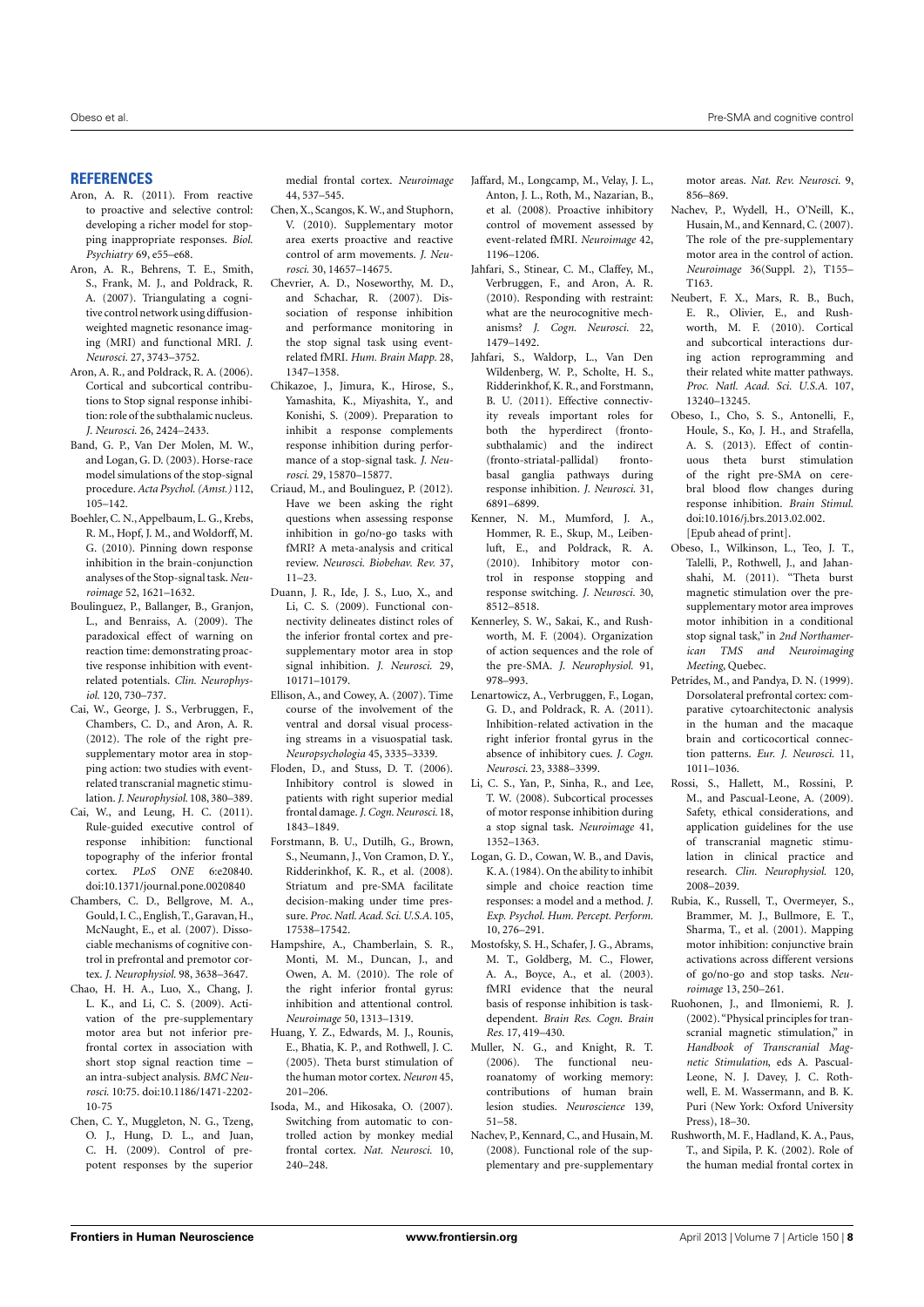#### **REFERENCES**

- <span id="page-7-21"></span>Aron, A. R. (2011). From reactive to proactive and selective control: developing a richer model for stopping inappropriate responses. *Biol. Psychiatry* 69, e55–e68.
- <span id="page-7-4"></span>Aron, A. R., Behrens, T. E., Smith, S., Frank, M. J., and Poldrack, R. A. (2007). Triangulating a cognitive control network using diffusionweighted magnetic resonance imaging (MRI) and functional MRI. *J. Neurosci.* 27, 3743–3752.
- <span id="page-7-3"></span>Aron, A. R., and Poldrack, R. A. (2006). Cortical and subcortical contributions to Stop signal response inhibition: role of the subthalamic nucleus. *J. Neurosci.* 26, 2424–2433.
- <span id="page-7-30"></span>Band, G. P., Van Der Molen, M. W., and Logan, G. D. (2003). Horse-race model simulations of the stop-signal procedure.*Acta Psychol. (Amst.)* 112, 105–142.
- <span id="page-7-14"></span>Boehler, C. N., Appelbaum, L. G., Krebs, R. M., Hopf, J. M., and Woldorff, M. G. (2010). Pinning down response inhibition in the brain-conjunction analyses of the Stop-signal task. *Neuroimage* 52, 1621–1632.
- <span id="page-7-20"></span>Boulinguez, P., Ballanger, B., Granjon, L., and Benraiss, A. (2009). The paradoxical effect of warning on reaction time: demonstrating proactive response inhibition with eventrelated potentials. *Clin. Neurophysiol.* 120, 730–737.
- <span id="page-7-26"></span>Cai, W., George, J. S., Verbruggen, F., Chambers, C. D., and Aron, A. R. (2012). The role of the right presupplementary motor area in stopping action: two studies with eventrelated transcranial magnetic stimulation. *J. Neurophysiol.* 108, 380–389.
- <span id="page-7-16"></span>Cai, W., and Leung, H. C. (2011). Rule-guided executive control of response inhibition: functional topography of the inferior frontal cortex. *PLoS ONE* 6:e20840. doi[:10.1371/journal.pone.0020840](http://dx.doi.org/10.1371/journal.pone.0020840)
- <span id="page-7-10"></span>Chambers, C. D., Bellgrove, M. A., Gould, I. C., English, T., Garavan, H., McNaught, E., et al. (2007). Dissociable mechanisms of cognitive control in prefrontal and premotor cortex. *J. Neurophysiol.* 98, 3638–3647.
- <span id="page-7-41"></span>Chao, H. H. A., Luo, X., Chang, J. L. K., and Li, C. S. (2009). Activation of the pre-supplementary motor area but not inferior prefrontal cortex in association with short stop signal reaction time – an intra-subject analysis. *BMC Neurosci.* 10:75. doi[:10.1186/1471-2202-](http://dx.doi.org/10.1186/1471-2202-10-75) [10-75](http://dx.doi.org/10.1186/1471-2202-10-75)
- <span id="page-7-22"></span>Chen, C. Y., Muggleton, N. G., Tzeng, O. J., Hung, D. L., and Juan, C. H. (2009). Control of prepotent responses by the superior

medial frontal cortex. *Neuroimage* 44, 537–545.

- <span id="page-7-40"></span>Chen, X., Scangos, K. W., and Stuphorn, V. (2010). Supplementary motor area exerts proactive and reactive control of arm movements. *J. Neurosci.* 30, 14657–14675.
- <span id="page-7-11"></span>Chevrier, A. D., Noseworthy, M. D., and Schachar, R. (2007). Dissociation of response inhibition and performance monitoring in the stop signal task using eventrelated fMRI. *Hum. Brain Mapp.* 28, 1347–1358.
- <span id="page-7-12"></span>Chikazoe, J., Jimura, K., Hirose, S., Yamashita, K., Miyashita, Y., and Konishi, S. (2009). Preparation to inhibit a response complements response inhibition during performance of a stop-signal task. *J. Neurosci.* 29, 15870–15877.
- <span id="page-7-9"></span>Criaud, M., and Boulinguez, P. (2012). Have we been asking the right questions when assessing response inhibition in go/no-go tasks with fMRI? A meta-analysis and critical review. *Neurosci. Biobehav. Rev.* 37, 11–23.
- <span id="page-7-13"></span>Duann, J. R., Ide, J. S., Luo, X., and Li, C. S. (2009). Functional connectivity delineates distinct roles of the inferior frontal cortex and presupplementary motor area in stop signal inhibition. *J. Neurosci.* 29, 10171–10179.
- <span id="page-7-32"></span>Ellison, A., and Cowey, A. (2007). Time course of the involvement of the ventral and dorsal visual processing streams in a visuospatial task. *Neuropsychologia* 45, 3335–3339.
- <span id="page-7-17"></span>Floden, D., and Stuss, D. T. (2006). Inhibitory control is slowed in patients with right superior medial frontal damage.*J. Cogn. Neurosci.* 18, 1843–1849.
- <span id="page-7-19"></span>Forstmann, B. U., Dutilh, G., Brown, S., Neumann, J., Von Cramon, D. Y., Ridderinkhof, K. R., et al. (2008). Striatum and pre-SMA facilitate decision-making under time pressure. *Proc. Natl. Acad. Sci. U.S.A.* 105, 17538–17542.
- <span id="page-7-15"></span>Hampshire, A., Chamberlain, S. R., Monti, M. M., Duncan, J., and Owen, A. M. (2010). The role of the right inferior frontal gyrus: inhibition and attentional control. *Neuroimage* 50, 1313–1319.
- <span id="page-7-31"></span>Huang, Y. Z., Edwards, M. J., Rounis, E., Bhatia, K. P., and Rothwell, J. C. (2005). Theta burst stimulation of the human motor cortex. *Neuron* 45, 201–206.
- <span id="page-7-34"></span>Isoda, M., and Hikosaka, O. (2007). Switching from automatic to controlled action by monkey medial frontal cortex. *Nat. Neurosci.* 10, 240–248.
- <span id="page-7-35"></span>Jaffard, M., Longcamp, M., Velay, J. L., Anton, J. L., Roth, M., Nazarian, B., et al. (2008). Proactive inhibitory control of movement assessed by event-related fMRI. *Neuroimage* 42, 1196–1206.
- <span id="page-7-8"></span>Jahfari, S., Stinear, C. M., Claffey, M., Verbruggen, F., and Aron, A. R. (2010). Responding with restraint: what are the neurocognitive mechanisms? *J. Cogn. Neurosci.* 22, 1479–1492.
- <span id="page-7-27"></span>Jahfari, S., Waldorp, L., Van Den Wildenberg, W. P., Scholte, H. S., Ridderinkhof, K. R., and Forstmann, B. U. (2011). Effective connectivity reveals important roles for both the hyperdirect (frontosubthalamic) and the indirect (fronto-striatal-pallidal) frontobasal ganglia pathways during response inhibition. *J. Neurosci.* 31, 6891–6899.
- <span id="page-7-6"></span>Kenner, N. M., Mumford, J. A., Hommer, R. E., Skup, M., Leibenluft, E., and Poldrack, R. A. (2010). Inhibitory motor control in response stopping and response switching. *J. Neurosci.* 30, 8512–8518.
- <span id="page-7-33"></span>Kennerley, S. W., Sakai, K., and Rushworth, M. F. (2004). Organization of action sequences and the role of the pre-SMA. *J. Neurophysiol.* 91, 978–993.
- <span id="page-7-36"></span>Lenartowicz, A., Verbruggen, F., Logan, G. D., and Poldrack, R. A. (2011). Inhibition-related activation in the right inferior frontal gyrus in the absence of inhibitory cues. *J. Cogn. Neurosci.* 23, 3388–3399.
- <span id="page-7-5"></span>Li, C. S., Yan, P., Sinha, R., and Lee, T. W. (2008). Subcortical processes of motor response inhibition during a stop signal task. *Neuroimage* 41, 1352–1363.
- <span id="page-7-28"></span>Logan, G. D., Cowan, W. B., and Davis, K. A. (1984). On the ability to inhibit simple and choice reaction time responses: a model and a method. *J. Exp. Psychol. Hum. Percept. Perform.* 10, 276–291.
- <span id="page-7-7"></span>Mostofsky, S. H., Schafer, J. G., Abrams, M. T., Goldberg, M. C., Flower, A. A., Boyce, A., et al. (2003). fMRI evidence that the neural basis of response inhibition is taskdependent. *Brain Res. Cogn. Brain Res.* 17, 419–430.
- <span id="page-7-39"></span>Muller, N. G., and Knight, R. T. (2006). The functional neuroanatomy of working memory: contributions of human brain lesion studies. *Neuroscience* 139, 51–58.
- <span id="page-7-0"></span>Nachev, P., Kennard, C., and Husain, M. (2008). Functional role of the supplementary and pre-supplementary

motor areas. *Nat. Rev. Neurosci.* 9, 856–869.

- <span id="page-7-18"></span>Nachev, P., Wydell, H., O'Neill, K., Husain, M., and Kennard, C. (2007). The role of the pre-supplementary motor area in the control of action. *Neuroimage* 36(Suppl. 2), T155– T163.
- <span id="page-7-23"></span>Neubert, F. X., Mars, R. B., Buch, E. R., Olivier, E., and Rushworth, M. F. (2010). Cortical and subcortical interactions during action reprogramming and their related white matter pathways. *Proc. Natl. Acad. Sci. U.S.A.* 107, 13240–13245.
- <span id="page-7-25"></span>Obeso, I., Cho, S. S., Antonelli, F., Houle, S., Ko, J. H., and Strafella, A. S. (2013). Effect of continuous theta burst stimulation of the right pre-SMA on cerebral blood flow changes during response inhibition. *Brain Stimul.* doi[:10.1016/j.brs.2013.02.002.](http://dx.doi.org/10.1016/j.brs.2013.02.002) [Epub ahead of print].
- <span id="page-7-24"></span>Obeso, I., Wilkinson, L., Teo, J. T., Talelli, P., Rothwell, J., and Jahanshahi, M. (2011). "Theta burst magnetic stimulation over the presupplementary motor area improves motor inhibition in a conditional stop signal task," in *2nd Northamerican TMS and Neuroimaging Meeting*, Quebec.
- <span id="page-7-38"></span>Petrides, M., and Pandya, D. N. (1999). Dorsolateral prefrontal cortex: comparative cytoarchitectonic analysis in the human and the macaque brain and corticocortical connection patterns. *Eur. J. Neurosci.* 11, 1011–1036.
- <span id="page-7-29"></span>Rossi, S., Hallett, M., Rossini, P. M., and Pascual-Leone, A. (2009). Safety, ethical considerations, and application guidelines for the use of transcranial magnetic stimulation in clinical practice and research. *Clin. Neurophysiol.* 120, 2008–2039.
- <span id="page-7-1"></span>Rubia, K., Russell, T., Overmeyer, S., Brammer, M. J., Bullmore, E. T., Sharma, T., et al. (2001). Mapping motor inhibition: conjunctive brain activations across different versions of go/no-go and stop tasks. *Neuroimage* 13, 250–261.
- <span id="page-7-37"></span>Ruohonen, J., and Ilmoniemi, R. J. (2002). "Physical principles for transcranial magnetic stimulation," in *Handbook of Transcranial Magnetic Stimulation*, eds A. Pascual-Leone, N. J. Davey, J. C. Rothwell, E. M. Wassermann, and B. K. Puri (New York: Oxford University Press), 18–30.
- <span id="page-7-2"></span>Rushworth, M. F., Hadland, K. A., Paus, T., and Sipila, P. K. (2002). Role of the human medial frontal cortex in